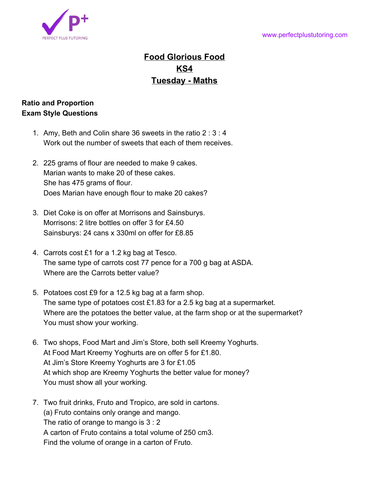

## **Food Glorious Food KS4 Tuesday - Maths**

## **Ratio and Proportion Exam Style Questions**

- 1. Amy, Beth and Colin share 36 sweets in the ratio 2 : 3 : 4 Work out the number of sweets that each of them receives.
- 2. 225 grams of flour are needed to make 9 cakes. Marian wants to make 20 of these cakes. She has 475 grams of flour. Does Marian have enough flour to make 20 cakes?
- 3. Diet Coke is on offer at Morrisons and Sainsburys. Morrisons: 2 litre bottles on offer 3 for £4.50 Sainsburys: 24 cans x 330ml on offer for £8.85
- 4. Carrots cost £1 for a 1.2 kg bag at Tesco. The same type of carrots cost 77 pence for a 700 g bag at ASDA. Where are the Carrots better value?
- 5. Potatoes cost £9 for a 12.5 kg bag at a farm shop. The same type of potatoes cost £1.83 for a 2.5 kg bag at a supermarket. Where are the potatoes the better value, at the farm shop or at the supermarket? You must show your working.
- 6. Two shops, Food Mart and Jim's Store, both sell Kreemy Yoghurts. At Food Mart Kreemy Yoghurts are on offer 5 for £1.80. At Jim's Store Kreemy Yoghurts are 3 for £1.05 At which shop are Kreemy Yoghurts the better value for money? You must show all your working.
- 7. Two fruit drinks, Fruto and Tropico, are sold in cartons. (a) Fruto contains only orange and mango. The ratio of orange to mango is 3 : 2 A carton of Fruto contains a total volume of 250 cm3. Find the volume of orange in a carton of Fruto.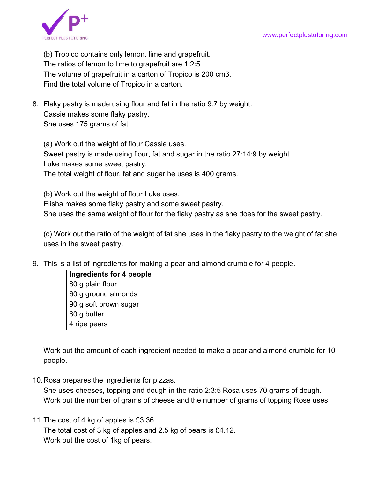

(b) Tropico contains only lemon, lime and grapefruit. The ratios of lemon to lime to grapefruit are 1:2:5 The volume of grapefruit in a carton of Tropico is 200 cm3. Find the total volume of Tropico in a carton.

8. Flaky pastry is made using flour and fat in the ratio 9:7 by weight. Cassie makes some flaky pastry. She uses 175 grams of fat.

(a) Work out the weight of flour Cassie uses. Sweet pastry is made using flour, fat and sugar in the ratio 27:14:9 by weight. Luke makes some sweet pastry. The total weight of flour, fat and sugar he uses is 400 grams.

(b) Work out the weight of flour Luke uses. Elisha makes some flaky pastry and some sweet pastry. She uses the same weight of flour for the flaky pastry as she does for the sweet pastry.

(c) Work out the ratio of the weight of fat she uses in the flaky pastry to the weight of fat she uses in the sweet pastry.

9. This is a list of ingredients for making a pear and almond crumble for 4 people.

**Ingredients for 4 people** 80 g plain flour 60 g ground almonds 90 g soft brown sugar 60 g butter 4 ripe pears

Work out the amount of each ingredient needed to make a pear and almond crumble for 10 people.

10.Rosa prepares the ingredients for pizzas.

She uses cheeses, topping and dough in the ratio 2:3:5 Rosa uses 70 grams of dough. Work out the number of grams of cheese and the number of grams of topping Rose uses.

11.The cost of 4 kg of apples is £3.36

The total cost of 3 kg of apples and 2.5 kg of pears is £4.12. Work out the cost of 1kg of pears.